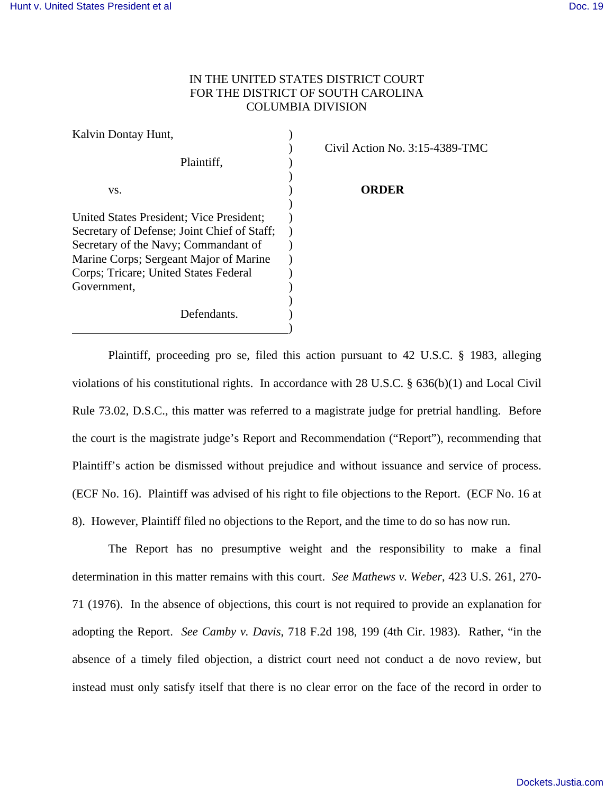## IN THE UNITED STATES DISTRICT COURT FOR THE DISTRICT OF SOUTH CAROLINA COLUMBIA DIVISION

| Kalvin Dontay Hunt,                         |  |
|---------------------------------------------|--|
|                                             |  |
| Plaintiff,                                  |  |
|                                             |  |
| VS.                                         |  |
| United States President; Vice President;    |  |
| Secretary of Defense; Joint Chief of Staff; |  |
| Secretary of the Navy; Commandant of        |  |
| Marine Corps; Sergeant Major of Marine      |  |
| Corps; Tricare; United States Federal       |  |
| Government,                                 |  |
| Defendants.                                 |  |
|                                             |  |

) Civil Action No. 3:15-4389-TMC

## **ORDER**

Plaintiff, proceeding pro se, filed this action pursuant to 42 U.S.C. § 1983, alleging violations of his constitutional rights. In accordance with 28 U.S.C.  $\S$  636(b)(1) and Local Civil Rule 73.02, D.S.C., this matter was referred to a magistrate judge for pretrial handling. Before the court is the magistrate judge's Report and Recommendation ("Report"), recommending that Plaintiff's action be dismissed without prejudice and without issuance and service of process. (ECF No. 16). Plaintiff was advised of his right to file objections to the Report. (ECF No. 16 at 8). However, Plaintiff filed no objections to the Report, and the time to do so has now run.

 The Report has no presumptive weight and the responsibility to make a final determination in this matter remains with this court. *See Mathews v. Weber*, 423 U.S. 261, 270- 71 (1976). In the absence of objections, this court is not required to provide an explanation for adopting the Report. *See Camby v. Davis*, 718 F.2d 198, 199 (4th Cir. 1983). Rather, "in the absence of a timely filed objection, a district court need not conduct a de novo review, but instead must only satisfy itself that there is no clear error on the face of the record in order to